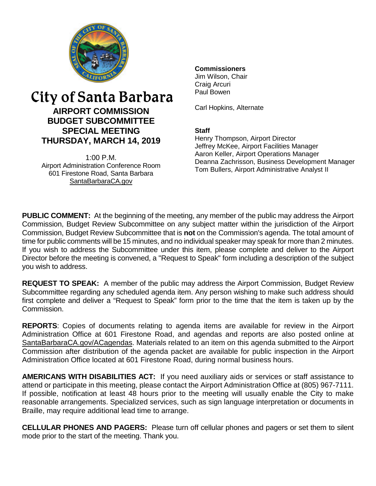

# City of Santa Barbara **AIRPORT COMMISSION BUDGET SUBCOMMITTEE SPECIAL MEETING THURSDAY, MARCH 14, 2019**

 $1:00 \text{ P M}$ Airport Administration Conference Room 601 Firestone Road, Santa Barbara [SantaBarbaraCA.gov](http://www.santabarbaraca.gov/)

## **Commissioners**

Jim Wilson, Chair Craig Arcuri Paul Bowen

Carl Hopkins, Alternate

#### **Staff**

Henry Thompson, Airport Director Jeffrey McKee, Airport Facilities Manager Aaron Keller, Airport Operations Manager Deanna Zachrisson, Business Development Manager Tom Bullers, Airport Administrative Analyst II

**PUBLIC COMMENT:** At the beginning of the meeting, any member of the public may address the Airport Commission, Budget Review Subcommittee on any subject matter within the jurisdiction of the Airport Commission, Budget Review Subcommittee that is **not** on the Commission's agenda. The total amount of time for public comments will be 15 minutes, and no individual speaker may speak for more than 2 minutes. If you wish to address the Subcommittee under this item, please complete and deliver to the Airport Director before the meeting is convened, a "Request to Speak" form including a description of the subject you wish to address.

**REQUEST TO SPEAK:** A member of the public may address the Airport Commission, Budget Review Subcommittee regarding any scheduled agenda item. Any person wishing to make such address should first complete and deliver a "Request to Speak" form prior to the time that the item is taken up by the Commission.

**REPORTS**: Copies of documents relating to agenda items are available for review in the Airport Administration Office at 601 Firestone Road, and agendas and reports are also posted online at [SantaBarbaraCA.gov/ACagendas.](http://www.santabarbaraca.gov/gov/brdcomm/ac/airport/agendas.asp) Materials related to an item on this agenda submitted to the Airport Commission after distribution of the agenda packet are available for public inspection in the Airport Administration Office located at 601 Firestone Road, during normal business hours.

**AMERICANS WITH DISABILITIES ACT:** If you need auxiliary aids or services or staff assistance to attend or participate in this meeting, please contact the Airport Administration Office at (805) 967-7111. If possible, notification at least 48 hours prior to the meeting will usually enable the City to make reasonable arrangements. Specialized services, such as sign language interpretation or documents in Braille, may require additional lead time to arrange.

**CELLULAR PHONES AND PAGERS:** Please turn off cellular phones and pagers or set them to silent mode prior to the start of the meeting. Thank you.